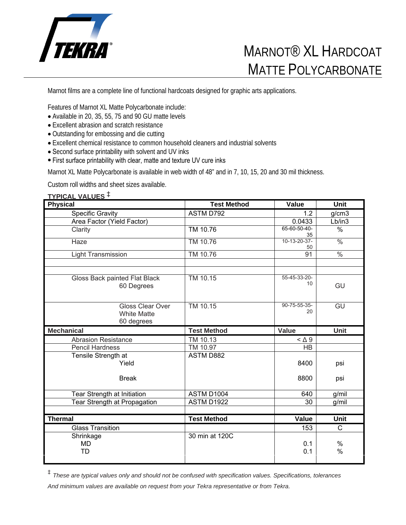

Marnot films are a complete line of functional hardcoats designed for graphic arts applications.

Features of Marnot XL Matte Polycarbonate include:

- Available in 20, 35, 55, 75 and 90 GU matte levels
- Excellent abrasion and scratch resistance
- Outstanding for embossing and die cutting
- Excellent chemical resistance to common household cleaners and industrial solvents
- Second surface printability with solvent and UV inks
- First surface printability with clear, matte and texture UV cure inks

Marnot XL Matte Polycarbonate is available in web width of 48" and in 7, 10, 15, 20 and 30 mil thickness.

Custom roll widths and sheet sizes available.

| <u>TYPICAL VALUES <math>^{\ddagger}</math></u> |                    |                    |               |  |
|------------------------------------------------|--------------------|--------------------|---------------|--|
| <b>Physical</b>                                | <b>Test Method</b> | Value              | <b>Unit</b>   |  |
| <b>Specific Gravity</b>                        | ASTM D792          | 1.2                | g/cm3         |  |
| Area Factor (Yield Factor)                     |                    | 0.0433             | Lb/in3        |  |
| Clarity                                        | TM 10.76           | 65-60-50-40-<br>35 | $\frac{1}{2}$ |  |
| Haze                                           | TM 10.76           | 10-13-20-37-<br>50 | $\frac{0}{6}$ |  |
| <b>Light Transmission</b>                      | TM 10.76           | 91                 | $\frac{0}{0}$ |  |
|                                                |                    |                    |               |  |
|                                                |                    |                    |               |  |
| Gloss Back painted Flat Black                  | TM 10.15           | 55-45-33-20-       |               |  |
| 60 Degrees                                     |                    | 10                 | GU            |  |
|                                                |                    |                    |               |  |
| <b>Gloss Clear Over</b>                        | TM 10.15           | 90-75-55-35-       | GU            |  |
| <b>White Matte</b>                             |                    | 20                 |               |  |
| 60 degrees                                     |                    |                    |               |  |
|                                                |                    |                    |               |  |
| <b>Mechanical</b>                              | <b>Test Method</b> | Value              | <b>Unit</b>   |  |
| <b>Abrasion Resistance</b>                     | TM 10.13           | $<$ $\triangle$ 9  |               |  |
| <b>Pencil Hardness</b>                         | TM 10.97           | <b>HB</b>          |               |  |
| Tensile Strength at                            | <b>ASTM D882</b>   |                    |               |  |
| Yield                                          |                    | 8400               | psi           |  |
|                                                |                    |                    |               |  |
| <b>Break</b>                                   |                    | 8800               | psi           |  |
|                                                |                    |                    |               |  |
| Tear Strength at Initiation                    | ASTM D1004         | 640                | g/mil         |  |
| Tear Strength at Propagation                   | ASTM D1922         | 30                 | g/mil         |  |
|                                                |                    |                    |               |  |
| <b>Thermal</b>                                 | <b>Test Method</b> | Value              | Unit          |  |
| <b>Glass Transition</b>                        |                    | 153                | $\mathsf{C}$  |  |
| Shrinkage                                      | 30 min at 120C     |                    |               |  |
| <b>MD</b>                                      |                    | 0.1                | $\%$          |  |
| TD                                             |                    | 0.1                | $\%$          |  |

<sup>‡</sup> *These are typical values only and should not be confused with specification values. Specifications, tolerances*

*And minimum values are available on request from your Tekra representative or from Tekra.*